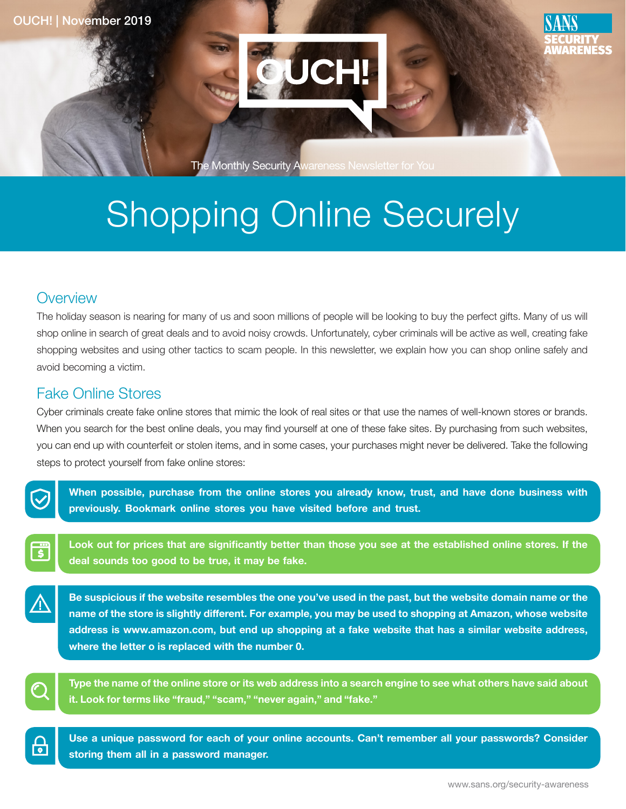

The Monthly Security Awareness Newsletter for You

# Shopping Online Securely

# **Overview**

The holiday season is nearing for many of us and soon millions of people will be looking to buy the perfect gifts. Many of us will shop online in search of great deals and to avoid noisy crowds. Unfortunately, cyber criminals will be active as well, creating fake shopping websites and using other tactics to scam people. In this newsletter, we explain how you can shop online safely and avoid becoming a victim.

# **Fake Online Stores**

Cyber criminals create fake online stores that mimic the look of real sites or that use the names of well-known stores or brands. When you search for the best online deals, you may find yourself at one of these fake sites. By purchasing from such websites, you can end up with counterfeit or stolen items, and in some cases, your purchases might never be delivered. Take the following steps to protect yourself from fake online stores:



When possible, purchase from the online stores you already know, trust, and have done business with previously. Bookmark online stores you have visited before and trust.

Look out for prices that are significantly better than those you see at the established online stores. If the deal sounds too good to be true, it may be fake.

Be suspicious if the website resembles the one you've used in the past, but the website domain name or the name of the store is slightly different. For example, you may be used to shopping at Amazon, whose website address is www.amazon.com, but end up shopping at a fake website that has a similar website address, where the letter o is replaced with the number 0.



Type the name of the online store or its web address into a search engine to see what others have said about it. Look for terms like "fraud," "scam," "never again," and "fake."

<u>မြ</u>

Use a unique password for each of your online accounts. Can't remember all your passwords? Consider storing them all in a password manager.

RFNFSS